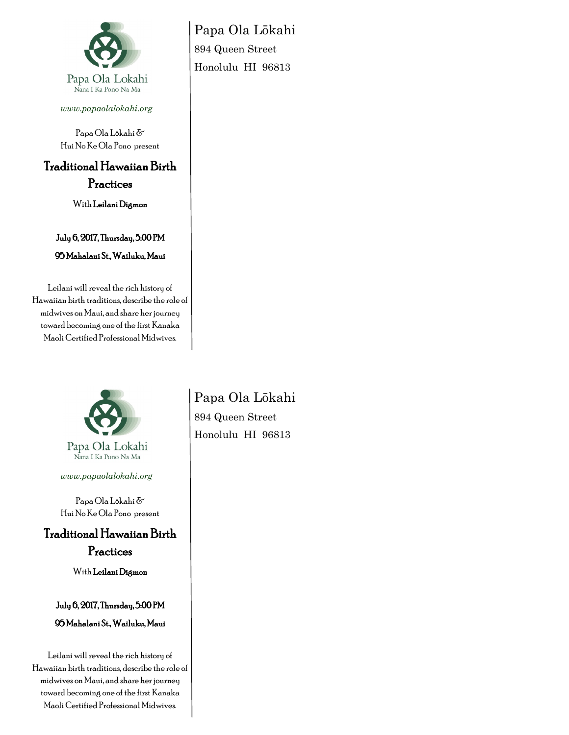

*www.papaolalokahi.org*

Papa Ola Lōkahi & Hui No Ke Ola Pono present

## Traditional Hawaiian Birth

Practices

With Leilani Digmon

July 6, 2017, Thursday, 5:00 PM 95 Mahalani St., Wailuku, Maui

Leilani will reveal the rich history of Hawaiian birth traditions, describe the role of midwives on Maui, and share her journey toward becoming one of the first Kanaka Maoli Certified Professional Midwives.



Papa Ola Lokahi Nana I Ka Pono Na Ma

*www.papaolalokahi.org*

Papa Ola Lōkahi & Hui No Ke Ola Pono present

Traditional Hawaiian Birth Practices

With Leilani Digmon

July 6, 2017, Thursday, 5:00 PM 95 Mahalani St., Wailuku, Maui

Leilani will reveal the rich history of Hawaiian birth traditions, describe the role of midwives on Maui, and share her journey toward becoming one of the first Kanaka Maoli Certified Professional Midwives.

Papa Ola Lōkahi 894 Queen Street Honolulu HI 96813

Papa Ola Lōkahi 894 Queen Street Honolulu HI 96813